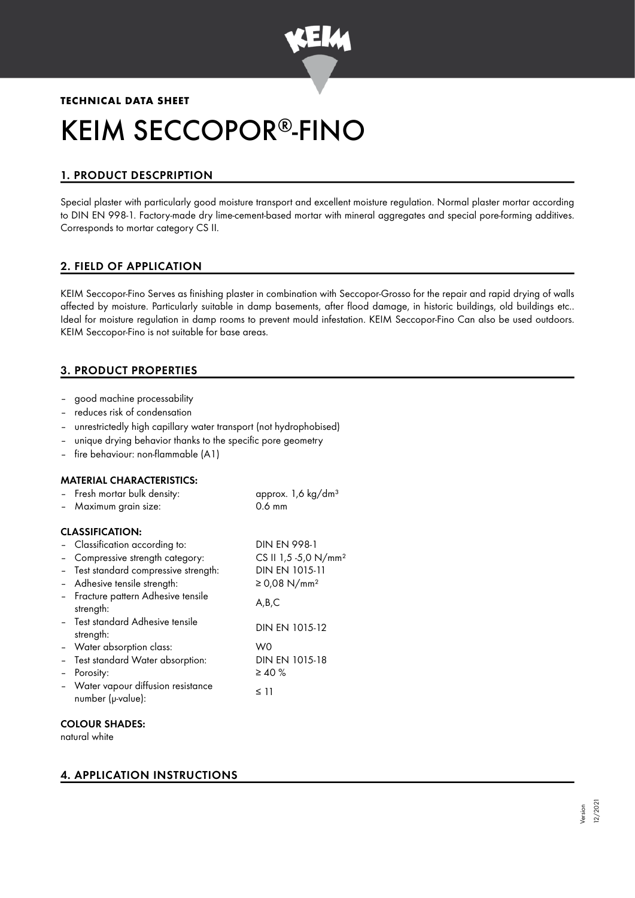

# **TECHNICAL DATA SHEET** KEIM SECCOPOR®-FINO

# 1. PRODUCT DESCPRIPTION

Special plaster with particularly good moisture transport and excellent moisture regulation. Normal plaster mortar according to DIN EN 998-1. Factory-made dry lime-cement-based mortar with mineral aggregates and special pore-forming additives. Corresponds to mortar category CS II.

# 2. FIELD OF APPLICATION

KEIM Seccopor-Fino Serves as finishing plaster in combination with Seccopor-Grosso for the repair and rapid drying of walls affected by moisture. Particularly suitable in damp basements, after flood damage, in historic buildings, old buildings etc.. Ideal for moisture regulation in damp rooms to prevent mould infestation. KEIM Seccopor-Fino Can also be used outdoors. KEIM Seccopor-Fino is not suitable for base areas.

# 3. PRODUCT PROPERTIES

- good machine processability
- reduces risk of condensation
- unrestrictedly high capillary water transport (not hydrophobised)
- unique drying behavior thanks to the specific pore geometry
- fire behaviour: non-flammable (A1)

# MATERIAL CHARACTERISTICS:

|                          | - Fresh mortar bulk density:                             | approx. 1,6 kg/dm <sup>3</sup>   |
|--------------------------|----------------------------------------------------------|----------------------------------|
|                          | - Maximum grain size:                                    | $0.6$ mm                         |
|                          | <b>CLASSIFICATION:</b>                                   |                                  |
|                          | - Classification according to:                           | <b>DIN EN 998-1</b>              |
|                          | - Compressive strength category:                         | CS II 1,5 -5,0 N/mm <sup>2</sup> |
|                          | - Test standard compressive strength:                    | DIN EN 1015-11                   |
|                          | - Adhesive tensile strength:                             | ≥ 0,08 N/mm <sup>2</sup>         |
|                          | - Fracture pattern Adhesive tensile<br>strength:         | A,B,C                            |
|                          | - Test standard Adhesive tensile<br>strength:            | DIN EN 1015-12                   |
|                          | - Water absorption class:                                | W0                               |
|                          | - Test standard Water absorption:                        | DIN EN 1015-18                   |
| $\overline{\phantom{0}}$ | Porosity:                                                | $\geq 40 \%$                     |
|                          | - Water vapour diffusion resistance<br>number (µ-value): | ≤ 11                             |
|                          |                                                          |                                  |

## COLOUR SHADES:

natural white

# 4. APPLICATION INSTRUCTIONS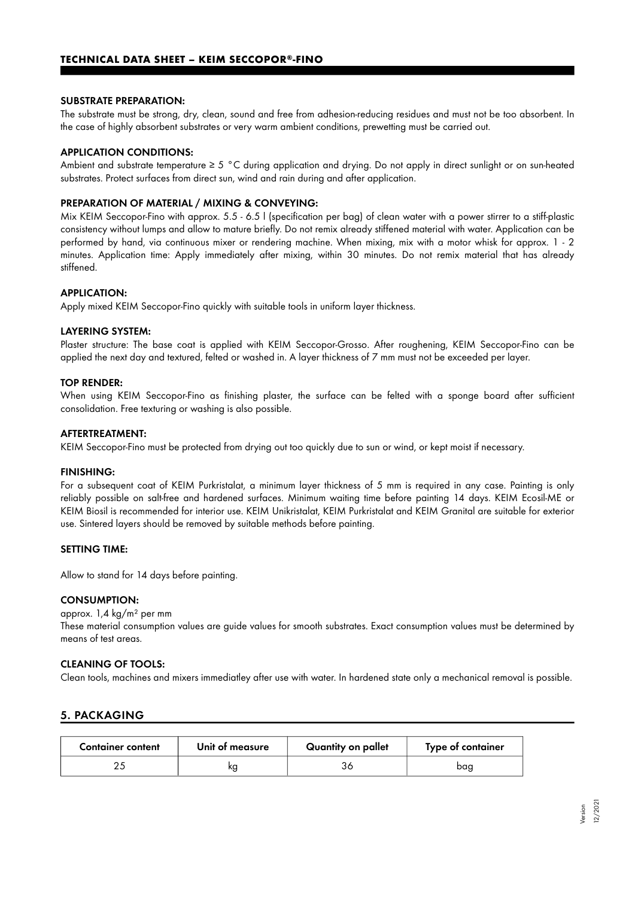#### SUBSTRATE PREPARATION:

The substrate must be strong, dry, clean, sound and free from adhesion-reducing residues and must not be too absorbent. In the case of highly absorbent substrates or very warm ambient conditions, prewetting must be carried out.

#### APPLICATION CONDITIONS:

Ambient and substrate temperature ≥ 5 °C during application and drying. Do not apply in direct sunlight or on sun-heated substrates. Protect surfaces from direct sun, wind and rain during and after application.

#### PREPARATION OF MATERIAL / MIXING & CONVEYING:

Mix KEIM Seccopor-Fino with approx. 5.5 - 6.5 l (specification per bag) of clean water with a power stirrer to a stiff-plastic consistency without lumps and allow to mature briefly. Do not remix already stiffened material with water. Application can be performed by hand, via continuous mixer or rendering machine. When mixing, mix with a motor whisk for approx. 1 - 2 minutes. Application time: Apply immediately after mixing, within 30 minutes. Do not remix material that has already stiffened.

#### APPLICATION:

Apply mixed KEIM Seccopor-Fino quickly with suitable tools in uniform layer thickness.

#### LAYERING SYSTEM:

Plaster structure: The base coat is applied with KEIM Seccopor-Grosso. After roughening, KEIM Seccopor-Fino can be applied the next day and textured, felted or washed in. A layer thickness of 7 mm must not be exceeded per layer.

#### TOP RENDER:

When using KEIM Seccopor-Fino as finishing plaster, the surface can be felted with a sponge board after sufficient consolidation. Free texturing or washing is also possible.

#### AFTERTREATMENT:

KEIM Seccopor-Fino must be protected from drying out too quickly due to sun or wind, or kept moist if necessary.

#### FINISHING:

For a subsequent coat of KEIM Purkristalat, a minimum layer thickness of 5 mm is required in any case. Painting is only reliably possible on salt-free and hardened surfaces. Minimum waiting time before painting 14 days. KEIM Ecosil-ME or KEIM Biosil is recommended for interior use. KEIM Unikristalat, KEIM Purkristalat and KEIM Granital are suitable for exterior use. Sintered layers should be removed by suitable methods before painting.

#### SETTING TIME:

Allow to stand for 14 days before painting.

#### CONSUMPTION:

#### approx. 1,4 kg/m² per mm

These material consumption values are guide values for smooth substrates. Exact consumption values must be determined by means of test areas.

#### CLEANING OF TOOLS:

Clean tools, machines and mixers immediatley after use with water. In hardened state only a mechanical removal is possible.

# 5. PACKAGING

| <b>Container content</b> | Unit of measure | Quantity on pallet | Type of container |
|--------------------------|-----------------|--------------------|-------------------|
|                          | kg              |                    | baa               |